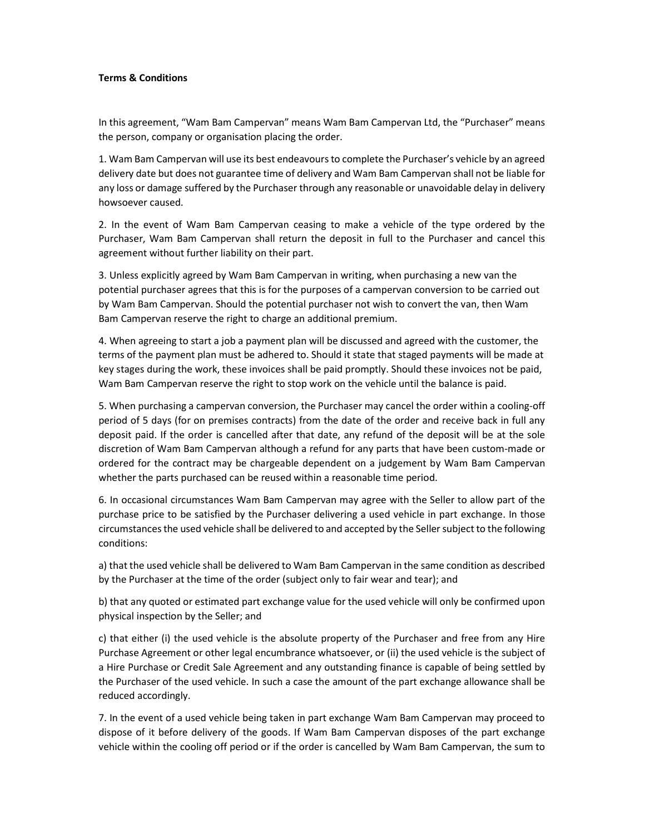## Terms & Conditions

In this agreement, "Wam Bam Campervan" means Wam Bam Campervan Ltd, the "Purchaser" means the person, company or organisation placing the order.

1. Wam Bam Campervan will use its best endeavours to complete the Purchaser's vehicle by an agreed delivery date but does not guarantee time of delivery and Wam Bam Campervan shall not be liable for any loss or damage suffered by the Purchaser through any reasonable or unavoidable delay in delivery howsoever caused.

2. In the event of Wam Bam Campervan ceasing to make a vehicle of the type ordered by the Purchaser, Wam Bam Campervan shall return the deposit in full to the Purchaser and cancel this agreement without further liability on their part.

3. Unless explicitly agreed by Wam Bam Campervan in writing, when purchasing a new van the potential purchaser agrees that this is for the purposes of a campervan conversion to be carried out by Wam Bam Campervan. Should the potential purchaser not wish to convert the van, then Wam Bam Campervan reserve the right to charge an additional premium.

4. When agreeing to start a job a payment plan will be discussed and agreed with the customer, the terms of the payment plan must be adhered to. Should it state that staged payments will be made at key stages during the work, these invoices shall be paid promptly. Should these invoices not be paid, Wam Bam Campervan reserve the right to stop work on the vehicle until the balance is paid.

5. When purchasing a campervan conversion, the Purchaser may cancel the order within a cooling-off period of 5 days (for on premises contracts) from the date of the order and receive back in full any deposit paid. If the order is cancelled after that date, any refund of the deposit will be at the sole discretion of Wam Bam Campervan although a refund for any parts that have been custom-made or ordered for the contract may be chargeable dependent on a judgement by Wam Bam Campervan whether the parts purchased can be reused within a reasonable time period.

6. In occasional circumstances Wam Bam Campervan may agree with the Seller to allow part of the purchase price to be satisfied by the Purchaser delivering a used vehicle in part exchange. In those circumstances the used vehicle shall be delivered to and accepted by the Seller subject to the following conditions:

a) that the used vehicle shall be delivered to Wam Bam Campervan in the same condition as described by the Purchaser at the time of the order (subject only to fair wear and tear); and

b) that any quoted or estimated part exchange value for the used vehicle will only be confirmed upon physical inspection by the Seller; and

c) that either (i) the used vehicle is the absolute property of the Purchaser and free from any Hire Purchase Agreement or other legal encumbrance whatsoever, or (ii) the used vehicle is the subject of a Hire Purchase or Credit Sale Agreement and any outstanding finance is capable of being settled by the Purchaser of the used vehicle. In such a case the amount of the part exchange allowance shall be reduced accordingly.

7. In the event of a used vehicle being taken in part exchange Wam Bam Campervan may proceed to dispose of it before delivery of the goods. If Wam Bam Campervan disposes of the part exchange vehicle within the cooling off period or if the order is cancelled by Wam Bam Campervan, the sum to